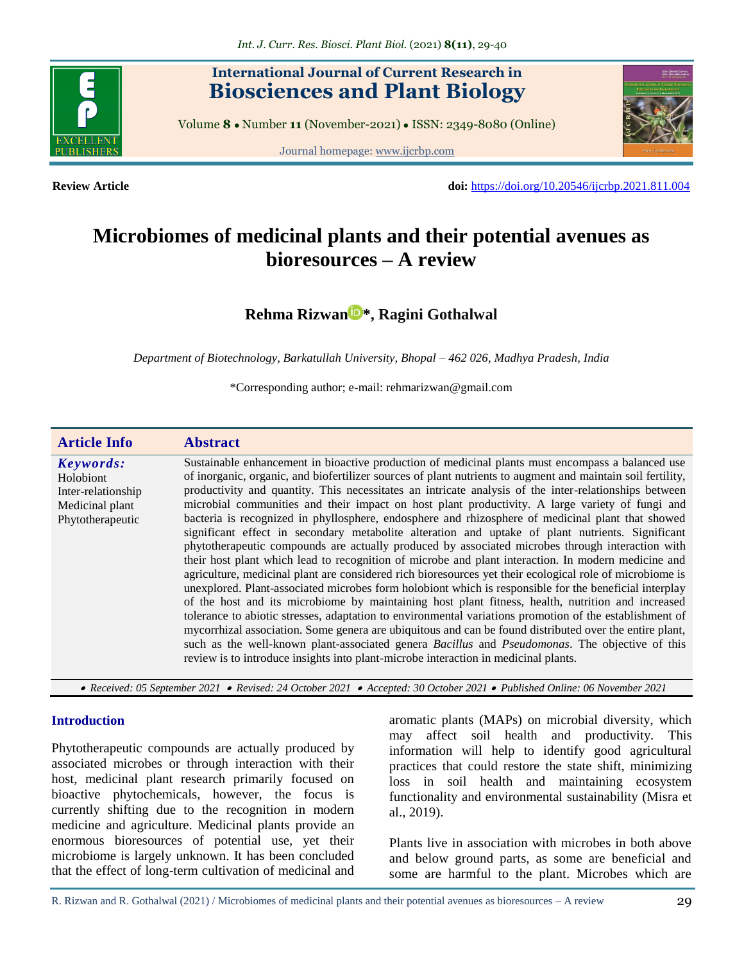

## **International Journal of Current Research in Biosciences and Plant Biology**

Volume **8** ● Number **11** (November-2021) ● ISSN: 2349-8080 (Online)

Journal homepage[: www.ijcrbp.com](http://www.ijcrbp.com/)



**Review Article doi:** <https://doi.org/10.20546/ijcrbp.2021.811.004>

# **Microbiomes of medicinal plants and their potential avenues as bioresources – A review**

**[Rehma Rizwan](https://orcid.org/0000-0002-3061-8309) \*, Ragini Gothalwal**

*Department of Biotechnology, Barkatullah University, Bhopal – 462 026, Madhya Pradesh, India*

\*Corresponding author; e-mail: rehmarizwan@gmail.com

| <b>Article Info</b>                                                                 | <b>Abstract</b>                                                                                                                                                                                                                                                                                                                                                                                                                                                                                                                                                                                                                                                                                                                                                                                                                                                                                                                                                                                                                                                                                                                                                                                                                                                                                                                                                                                                                                                                                                                                                                            |
|-------------------------------------------------------------------------------------|--------------------------------------------------------------------------------------------------------------------------------------------------------------------------------------------------------------------------------------------------------------------------------------------------------------------------------------------------------------------------------------------------------------------------------------------------------------------------------------------------------------------------------------------------------------------------------------------------------------------------------------------------------------------------------------------------------------------------------------------------------------------------------------------------------------------------------------------------------------------------------------------------------------------------------------------------------------------------------------------------------------------------------------------------------------------------------------------------------------------------------------------------------------------------------------------------------------------------------------------------------------------------------------------------------------------------------------------------------------------------------------------------------------------------------------------------------------------------------------------------------------------------------------------------------------------------------------------|
| Keywords:<br>Holobiont<br>Inter-relationship<br>Medicinal plant<br>Phytotherapeutic | Sustainable enhancement in bioactive production of medicinal plants must encompass a balanced use<br>of inorganic, organic, and biofertilizer sources of plant nutrients to augment and maintain soil fertility,<br>productivity and quantity. This necessitates an intricate analysis of the inter-relationships between<br>microbial communities and their impact on host plant productivity. A large variety of fungi and<br>bacteria is recognized in phyllosphere, endosphere and rhizosphere of medicinal plant that showed<br>significant effect in secondary metabolite alteration and uptake of plant nutrients. Significant<br>phytotherapeutic compounds are actually produced by associated microbes through interaction with<br>their host plant which lead to recognition of microbe and plant interaction. In modern medicine and<br>agriculture, medicinal plant are considered rich bioresources yet their ecological role of microbiome is<br>unexplored. Plant-associated microbes form holobiont which is responsible for the beneficial interplay<br>of the host and its microbiome by maintaining host plant fitness, health, nutrition and increased<br>tolerance to abiotic stresses, adaptation to environmental variations promotion of the establishment of<br>mycorrhizal association. Some genera are ubiquitous and can be found distributed over the entire plant,<br>such as the well-known plant-associated genera Bacillus and Pseudomonas. The objective of this<br>review is to introduce insights into plant-microbe interaction in medicinal plants. |

 *Received: 05 September 2021 Revised: 24 October 2021 Accepted: 30 October 2021 Published Online: 06 November 2021*

#### **Introduction**

Phytotherapeutic compounds are actually produced by associated microbes or through interaction with their host, medicinal plant research primarily focused on bioactive phytochemicals, however, the focus is currently shifting due to the recognition in modern medicine and agriculture. Medicinal plants provide an enormous bioresources of potential use, yet their microbiome is largely unknown. It has been concluded that the effect of long-term cultivation of medicinal and aromatic plants (MAPs) on microbial diversity, which may affect soil health and productivity. This information will help to identify good agricultural practices that could restore the state shift, minimizing loss in soil health and maintaining ecosystem functionality and environmental sustainability (Misra et al., 2019).

Plants live in association with microbes in both above and below ground parts, as some are beneficial and some are harmful to the plant. Microbes which are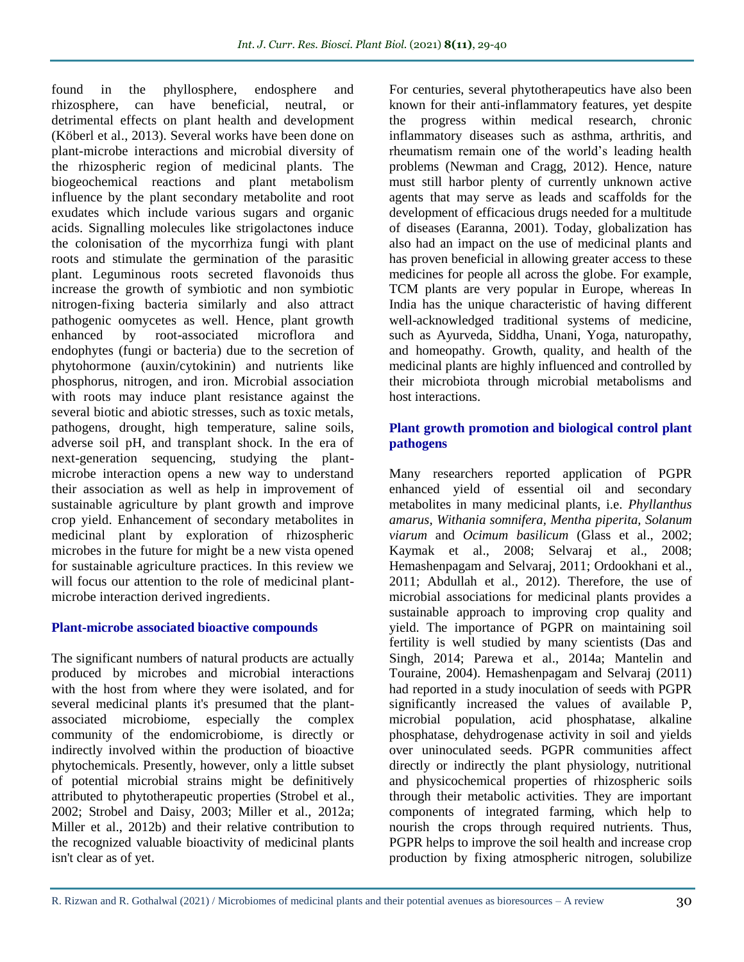found in the phyllosphere, endosphere and rhizosphere, can have beneficial, neutral, or detrimental effects on plant health and development (Köberl et al., 2013). Several works have been done on plant-microbe interactions and microbial diversity of the rhizospheric region of medicinal plants. The biogeochemical reactions and plant metabolism influence by the plant secondary metabolite and root exudates which include various sugars and organic acids. Signalling molecules like strigolactones induce the colonisation of the mycorrhiza fungi with plant roots and stimulate the germination of the parasitic plant. Leguminous roots secreted flavonoids thus increase the growth of symbiotic and non symbiotic nitrogen-fixing bacteria similarly and also attract pathogenic oomycetes as well. Hence, plant growth enhanced by root-associated microflora and endophytes (fungi or bacteria) due to the secretion of phytohormone (auxin/cytokinin) and nutrients like phosphorus, nitrogen, and iron. Microbial association with roots may induce plant resistance against the several biotic and abiotic stresses, such as toxic metals, pathogens, drought, high temperature, saline soils, adverse soil pH, and transplant shock. In the era of next-generation sequencing, studying the plantmicrobe interaction opens a new way to understand their association as well as help in improvement of sustainable agriculture by plant growth and improve crop yield. Enhancement of secondary metabolites in medicinal plant by exploration of rhizospheric microbes in the future for might be a new vista opened for sustainable agriculture practices. In this review we will focus our attention to the role of medicinal plantmicrobe interaction derived ingredients.

## **Plant-microbe associated bioactive compounds**

The significant numbers of natural products are actually produced by microbes and microbial interactions with the host from where they were isolated, and for several medicinal plants it's presumed that the plantassociated microbiome, especially the complex community of the endomicrobiome, is directly or indirectly involved within the production of bioactive phytochemicals. Presently, however, only a little subset of potential microbial strains might be definitively attributed to phytotherapeutic properties (Strobel et al., 2002; Strobel and Daisy, 2003; Miller et al., 2012a; Miller et al., 2012b) and their relative contribution to the recognized valuable bioactivity of medicinal plants isn't clear as of yet.

For centuries, several phytotherapeutics have also been known for their anti-inflammatory features, yet despite the progress within medical research, chronic inflammatory diseases such as asthma, arthritis, and rheumatism remain one of the world's leading health problems (Newman and Cragg, 2012). Hence, nature must still harbor plenty of currently unknown active agents that may serve as leads and scaffolds for the development of efficacious drugs needed for a multitude of diseases (Earanna, 2001). Today, globalization has also had an impact on the use of medicinal plants and has proven beneficial in allowing greater access to these medicines for people all across the globe. For example, TCM plants are very popular in Europe, whereas In India has the unique characteristic of having different well-acknowledged traditional systems of medicine, such as Ayurveda, Siddha, Unani, Yoga, naturopathy, and homeopathy. Growth, quality, and health of the medicinal plants are highly influenced and controlled by their microbiota through microbial metabolisms and host interactions.

### **Plant growth promotion and biological control plant pathogens**

Many researchers reported application of PGPR enhanced yield of essential oil and secondary metabolites in many medicinal plants, i.e. *Phyllanthus amarus, Withania somnifera, Mentha piperita, Solanum viarum* and *Ocimum basilicum* (Glass et al., 2002; Kaymak et al., 2008; Selvaraj et al., 2008; Hemashenpagam and Selvaraj, 2011; Ordookhani et al., 2011; Abdullah et al., 2012). Therefore, the use of microbial associations for medicinal plants provides a sustainable approach to improving crop quality and yield. The importance of PGPR on maintaining soil fertility is well studied by many scientists (Das and Singh, 2014; Parewa et al., 2014a; Mantelin and Touraine, 2004). Hemashenpagam and Selvaraj (2011) had reported in a study inoculation of seeds with PGPR significantly increased the values of available P, microbial population, acid phosphatase, alkaline phosphatase, dehydrogenase activity in soil and yields over uninoculated seeds. PGPR communities affect directly or indirectly the plant physiology, nutritional and physicochemical properties of rhizospheric soils through their metabolic activities. They are important components of integrated farming, which help to nourish the crops through required nutrients. Thus, PGPR helps to improve the soil health and increase crop production by fixing atmospheric nitrogen, solubilize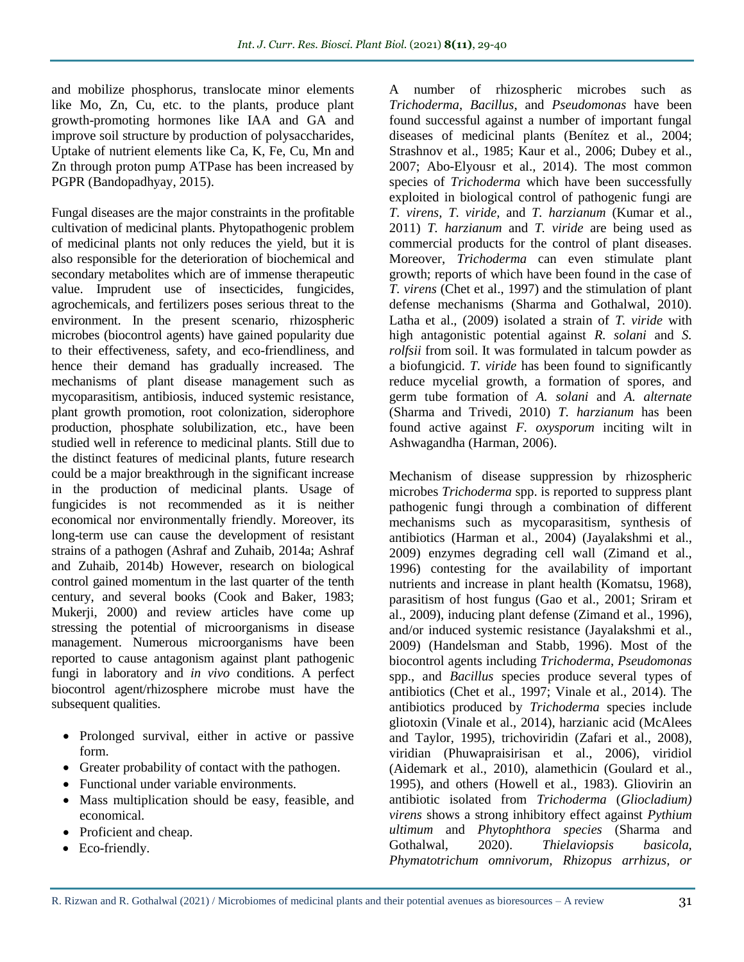and mobilize phosphorus, translocate minor elements like Mo, Zn, Cu, etc. to the plants, produce plant growth-promoting hormones like IAA and GA and improve soil structure by production of polysaccharides, Uptake of nutrient elements like Ca, K, Fe, Cu, Mn and Zn through proton pump ATPase has been increased by PGPR (Bandopadhyay, 2015).

Fungal diseases are the major constraints in the profitable cultivation of medicinal plants. Phytopathogenic problem of medicinal plants not only reduces the yield, but it is also responsible for the deterioration of biochemical and secondary metabolites which are of immense therapeutic value. Imprudent use of insecticides, fungicides, agrochemicals, and fertilizers poses serious threat to the environment. In the present scenario, rhizospheric microbes (biocontrol agents) have gained popularity due to their effectiveness, safety, and eco-friendliness, and hence their demand has gradually increased. The mechanisms of plant disease management such as mycoparasitism, antibiosis, induced systemic resistance, plant growth promotion, root colonization, siderophore production, phosphate solubilization, etc., have been studied well in reference to medicinal plants. Still due to the distinct features of medicinal plants, future research could be a major breakthrough in the significant increase in the production of medicinal plants. Usage of fungicides is not recommended as it is neither economical nor environmentally friendly. Moreover, its long-term use can cause the development of resistant strains of a pathogen (Ashraf and Zuhaib, 2014a; Ashraf and Zuhaib, 2014b) However, research on biological control gained momentum in the last quarter of the tenth century, and several books (Cook and Baker, 1983; Mukerji, 2000) and review articles have come up stressing the potential of microorganisms in disease management. Numerous microorganisms have been reported to cause antagonism against plant pathogenic fungi in laboratory and *in vivo* conditions. A perfect biocontrol agent/rhizosphere microbe must have the subsequent qualities.

- Prolonged survival, either in active or passive form.
- Greater probability of contact with the pathogen.
- Functional under variable environments.
- Mass multiplication should be easy, feasible, and economical.
- Proficient and cheap.
- Eco-friendly.

A number of rhizospheric microbes such as *Trichoderma*, *Bacillus*, and *Pseudomonas* have been found successful against a number of important fungal diseases of medicinal plants (Benítez et al., 2004; Strashnov et al., 1985; Kaur et al., 2006; Dubey et al., 2007; Abo-Elyousr et al., 2014). The most common species of *Trichoderma* which have been successfully exploited in biological control of pathogenic fungi are *T. virens, T. viride,* and *T. harzianum* (Kumar et al., 2011) *T. harzianum* and *T. viride* are being used as commercial products for the control of plant diseases. Moreover, *Trichoderma* can even stimulate plant growth; reports of which have been found in the case of *T. virens* (Chet et al., 1997) and the stimulation of plant defense mechanisms (Sharma and Gothalwal, 2010). Latha et al., (2009) isolated a strain of *T. viride* with high antagonistic potential against *R. solani* and *S. rolfsii* from soil. It was formulated in talcum powder as a biofungicid. *T. viride* has been found to significantly reduce mycelial growth, a formation of spores, and germ tube formation of *A. solani* and *A. alternate*  (Sharma and Trivedi, 2010) *T. harzianum* has been found active against *F. oxysporum* inciting wilt in Ashwagandha (Harman, 2006).

Mechanism of disease suppression by rhizospheric microbes *Trichoderma* spp. is reported to suppress plant pathogenic fungi through a combination of different mechanisms such as mycoparasitism, synthesis of antibiotics (Harman et al., 2004) (Jayalakshmi et al., 2009) enzymes degrading cell wall (Zimand et al., 1996) contesting for the availability of important nutrients and increase in plant health (Komatsu, 1968), parasitism of host fungus (Gao et al., 2001; Sriram et al., 2009), inducing plant defense (Zimand et al., 1996), and/or induced systemic resistance (Jayalakshmi et al., 2009) (Handelsman and Stabb, 1996). Most of the biocontrol agents including *Trichoderma*, *Pseudomonas* spp., and *Bacillus* species produce several types of antibiotics (Chet et al., 1997; Vinale et al., 2014). The antibiotics produced by *Trichoderma* species include gliotoxin (Vinale et al., 2014), harzianic acid (McAlees and Taylor, 1995), trichoviridin (Zafari et al., 2008), viridian (Phuwapraisirisan et al., 2006), viridiol (Aidemark et al., 2010), alamethicin (Goulard et al., 1995), and others (Howell et al., 1983). Gliovirin an antibiotic isolated from *Trichoderma* (*Gliocladium) virens* shows a strong inhibitory effect against *Pythium ultimum* and *Phytophthora species* (Sharma and Gothalwal, 2020). *Thielaviopsis basicola, Phymatotrichum omnivorum, Rhizopus arrhizus, or*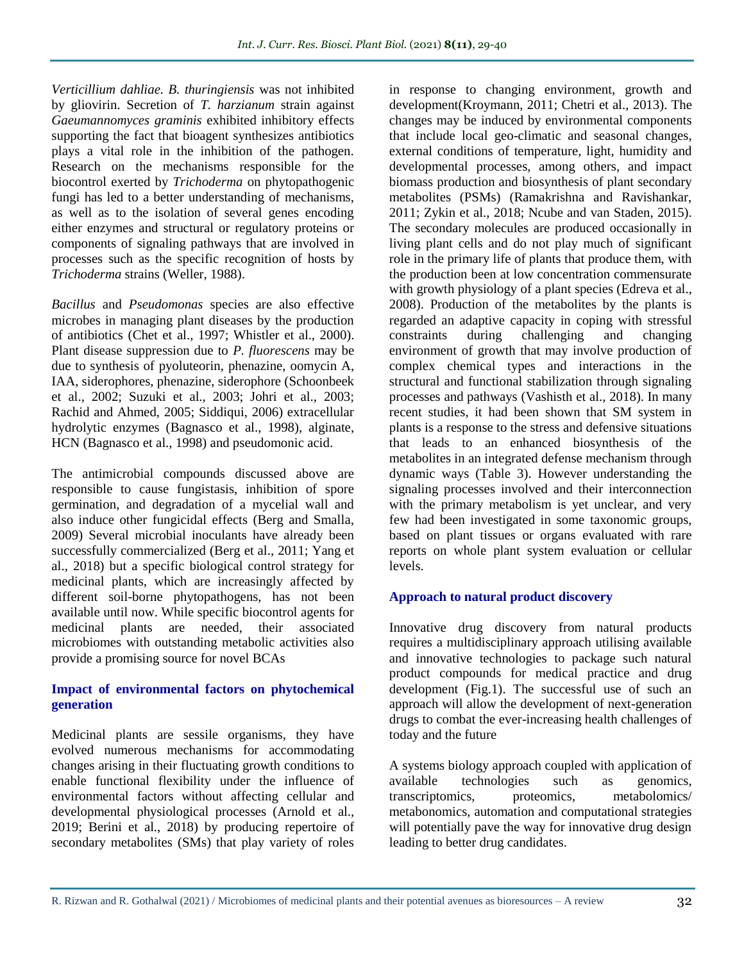*Verticillium dahliae. B. thuringiensis* was not inhibited by gliovirin. Secretion of *T. harzianum* strain against *Gaeumannomyces graminis* exhibited inhibitory effects supporting the fact that bioagent synthesizes antibiotics plays a vital role in the inhibition of the pathogen. Research on the mechanisms responsible for the biocontrol exerted by *Trichoderma* on phytopathogenic fungi has led to a better understanding of mechanisms, as well as to the isolation of several genes encoding either enzymes and structural or regulatory proteins or components of signaling pathways that are involved in processes such as the specific recognition of hosts by *Trichoderma* strains (Weller, 1988).

*Bacillus* and *Pseudomonas* species are also effective microbes in managing plant diseases by the production of antibiotics (Chet et al., 1997; Whistler et al., 2000). Plant disease suppression due to *P. fluorescens* may be due to synthesis of pyoluteorin, phenazine, oomycin A, IAA, siderophores, phenazine, siderophore (Schoonbeek et al., 2002; Suzuki et al., 2003; Johri et al., 2003; Rachid and Ahmed, 2005; Siddiqui, 2006) extracellular hydrolytic enzymes (Bagnasco et al., 1998), alginate, HCN (Bagnasco et al., 1998) and pseudomonic acid.

The antimicrobial compounds discussed above are responsible to cause fungistasis, inhibition of spore germination, and degradation of a mycelial wall and also induce other fungicidal effects (Berg and Smalla, 2009) Several microbial inoculants have already been successfully commercialized (Berg et al., 2011; Yang et al., 2018) but a specific biological control strategy for medicinal plants, which are increasingly affected by different soil-borne phytopathogens, has not been available until now. While specific biocontrol agents for medicinal plants are needed, their associated microbiomes with outstanding metabolic activities also provide a promising source for novel BCAs

## **Impact of environmental factors on phytochemical generation**

Medicinal plants are sessile organisms, they have evolved numerous mechanisms for accommodating changes arising in their fluctuating growth conditions to enable functional flexibility under the influence of environmental factors without affecting cellular and developmental physiological processes (Arnold et al., 2019; Berini et al., 2018) by producing repertoire of secondary metabolites (SMs) that play variety of roles

in response to changing environment, growth and development(Kroymann, 2011; Chetri et al., 2013). The changes may be induced by environmental components that include local geo-climatic and seasonal changes, external conditions of temperature, light, humidity and developmental processes, among others, and impact biomass production and biosynthesis of plant secondary metabolites (PSMs) (Ramakrishna and Ravishankar, 2011; Zykin et al., 2018; Ncube and van Staden, 2015). The secondary molecules are produced occasionally in living plant cells and do not play much of significant role in the primary life of plants that produce them, with the production been at low concentration commensurate with growth physiology of a plant species (Edreva et al., 2008). Production of the metabolites by the plants is regarded an adaptive capacity in coping with stressful constraints during challenging and changing environment of growth that may involve production of complex chemical types and interactions in the structural and functional stabilization through signaling processes and pathways (Vashisth et al., 2018). In many recent studies, it had been shown that SM system in plants is a response to the stress and defensive situations that leads to an enhanced biosynthesis of the metabolites in an integrated defense mechanism through dynamic ways (Table 3). However understanding the signaling processes involved and their interconnection with the primary metabolism is yet unclear, and very few had been investigated in some taxonomic groups, based on plant tissues or organs evaluated with rare reports on whole plant system evaluation or cellular levels.

## **Approach to natural product discovery**

Innovative drug discovery from natural products requires a multidisciplinary approach utilising available and innovative technologies to package such natural product compounds for medical practice and drug development (Fig.1). The successful use of such an approach will allow the development of next-generation drugs to combat the ever-increasing health challenges of today and the future

A systems biology approach coupled with application of available technologies such as genomics, transcriptomics, proteomics, metabolomics/ metabonomics, automation and computational strategies will potentially pave the way for innovative drug design leading to better drug candidates.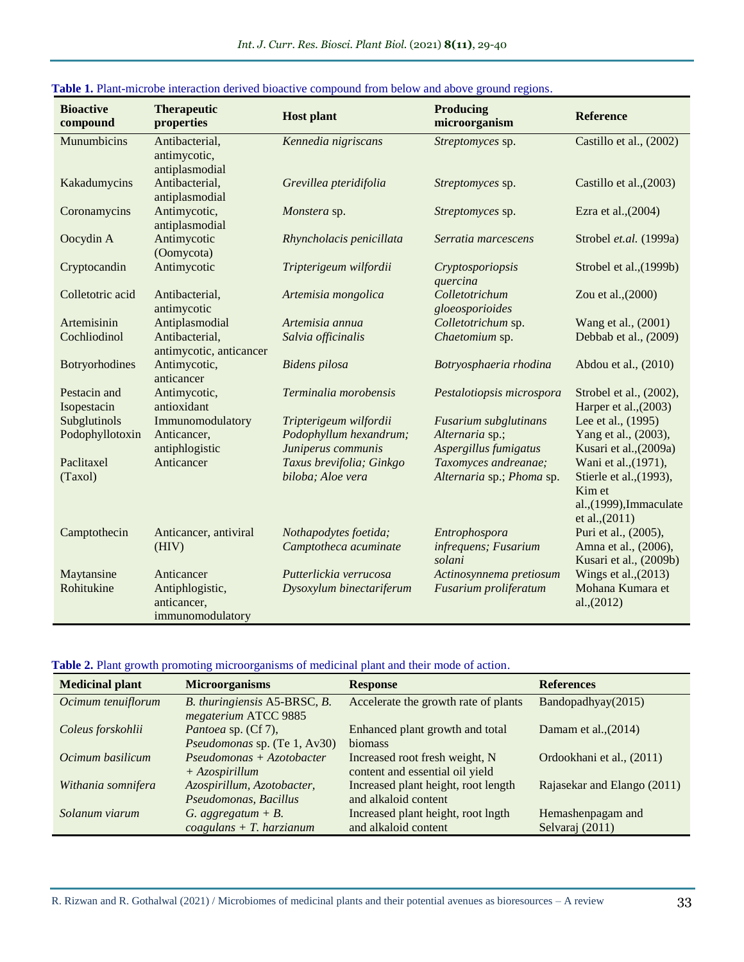| <b>Bioactive</b><br>compound | <b>Therapeutic</b><br>properties                   | <b>Host plant</b>                              | <b>Producing</b><br>microorganism               | <b>Reference</b>                                                                 |
|------------------------------|----------------------------------------------------|------------------------------------------------|-------------------------------------------------|----------------------------------------------------------------------------------|
| Munumbicins                  | Antibacterial,<br>antimycotic,<br>antiplasmodial   | Kennedia nigriscans                            | Streptomyces sp.                                | Castillo et al., (2002)                                                          |
| Kakadumycins                 | Antibacterial,<br>antiplasmodial                   | Grevillea pteridifolia                         | Streptomyces sp.                                | Castillo et al., (2003)                                                          |
| Coronamycins                 | Antimycotic,<br>antiplasmodial                     | Monstera sp.                                   | Streptomyces sp.                                | Ezra et al., (2004)                                                              |
| Oocydin A                    | Antimycotic<br>(Oomycota)                          | Rhyncholacis penicillata                       | Serratia marcescens                             | Strobel et.al. (1999a)                                                           |
| Cryptocandin                 | Antimycotic                                        | Tripterigeum wilfordii                         | Cryptosporiopsis<br>quercina                    | Strobel et al., (1999b)                                                          |
| Colletotric acid             | Antibacterial,<br>antimycotic                      | Artemisia mongolica                            | Colletotrichum<br>gloeosporioides               | Zou et al., (2000)                                                               |
| Artemisinin                  | Antiplasmodial                                     | Artemisia annua                                | Colletotrichum sp.                              | Wang et al., (2001)                                                              |
| Cochliodinol                 | Antibacterial,<br>antimycotic, anticancer          | Salvia officinalis                             | Chaetomium sp.                                  | Debbab et al., (2009)                                                            |
| Botryorhodines               | Antimycotic,<br>anticancer                         | <b>Bidens</b> pilosa                           | Botryosphaeria rhodina                          | Abdou et al., (2010)                                                             |
| Pestacin and<br>Isopestacin  | Antimycotic,<br>antioxidant                        | Terminalia morobensis                          | Pestalotiopsis microspora                       | Strobel et al., (2002),<br>Harper et al., (2003)                                 |
| Subglutinols                 | Immunomodulatory                                   | Tripterigeum wilfordii                         | Fusarium subglutinans                           | Lee et al., (1995)                                                               |
| Podophyllotoxin              | Anticancer,<br>antiphlogistic                      | Podophyllum hexandrum;<br>Juniperus communis   | Alternaria sp.;<br>Aspergillus fumigatus        | Yang et al., (2003),<br>Kusari et al., (2009a)                                   |
| Paclitaxel                   | Anticancer                                         | Taxus brevifolia; Ginkgo                       | Taxomyces andreanae;                            | Wani et al., (1971),                                                             |
| (Taxol)                      |                                                    | biloba; Aloe vera                              | Alternaria sp.; Phoma sp.                       | Stierle et al., (1993),<br>Kim et<br>al., (1999), Immaculate<br>et al., $(2011)$ |
| Camptothecin                 | Anticancer, antiviral<br>(HIV)                     | Nothapodytes foetida;<br>Camptotheca acuminate | Entrophospora<br>infrequens; Fusarium<br>solani | Puri et al., (2005),<br>Amna et al., (2006),<br>Kusari et al., (2009b)           |
| Maytansine                   | Anticancer                                         | Putterlickia verrucosa                         | Actinosynnema pretiosum                         | Wings et al., $(2013)$                                                           |
| Rohitukine                   | Antiphlogistic,<br>anticancer,<br>immunomodulatory | Dysoxylum binectariferum                       | Fusarium proliferatum                           | Mohana Kumara et<br>al., (2012)                                                  |

#### **Table 1.** Plant-microbe interaction derived bioactive compound from below and above ground regions.

#### **Table 2.** Plant growth promoting microorganisms of medicinal plant and their mode of action.

| <b>Medicinal plant</b> | <b>Microorganisms</b>                                      | <b>Response</b>                                                   | <b>References</b>                    |
|------------------------|------------------------------------------------------------|-------------------------------------------------------------------|--------------------------------------|
| Ocimum tenuiflorum     | B. thuringiensis A5-BRSC, B.<br>megaterium ATCC 9885       | Accelerate the growth rate of plants                              | Bandopadhyay(2015)                   |
| Coleus forskohlii      | <i>Pantoea</i> sp. (Cf 7),<br>Pseudomonas sp. (Te 1, Av30) | Enhanced plant growth and total<br>biomass                        | Damam et al., $(2014)$               |
| Ocimum basilicum       | $Pseudomonas + Azotobacter$<br>$+ A z o$ spirillum         | Increased root fresh weight, N<br>content and essential oil yield | Ordookhani et al., (2011)            |
| Withania somnifera     | Azospirillum, Azotobacter,<br>Pseudomonas, Bacillus        | Increased plant height, root length<br>and alkaloid content       | Rajasekar and Elango (2011)          |
| Solanum viarum         | G. aggregatum + $B$ .<br>$coagulans + T. harzianum$        | Increased plant height, root lngth<br>and alkaloid content        | Hemashenpagam and<br>Selvaraj (2011) |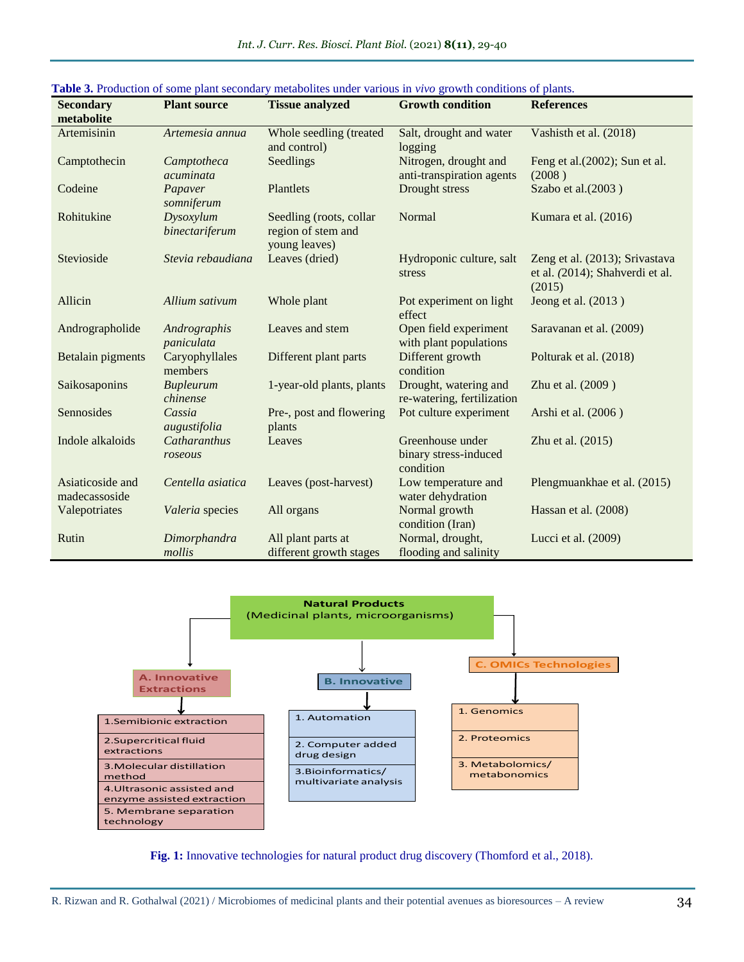| <b>Secondary</b>                  | <b>Plant source</b>          | <b>Tissue analyzed</b>                                         | <b>Growth condition</b>                                | <b>References</b>                                                           |
|-----------------------------------|------------------------------|----------------------------------------------------------------|--------------------------------------------------------|-----------------------------------------------------------------------------|
| metabolite                        |                              |                                                                |                                                        |                                                                             |
| Artemisinin                       | Artemesia annua              | Whole seedling (treated<br>and control)                        | Salt, drought and water<br>logging                     | Vashisth et al. (2018)                                                      |
| Camptothecin                      | Camptotheca<br>acuminata     | Seedlings                                                      | Nitrogen, drought and<br>anti-transpiration agents     | Feng et al.(2002); Sun et al.<br>(2008)                                     |
| Codeine                           | Papaver<br>somniferum        | Plantlets                                                      | Drought stress                                         | Szabo et al.(2003)                                                          |
| Rohitukine                        | Dysoxylum<br>binectariferum  | Seedling (roots, collar<br>region of stem and<br>young leaves) | Normal                                                 | Kumara et al. (2016)                                                        |
| Stevioside                        | Stevia rebaudiana            | Leaves (dried)                                                 | Hydroponic culture, salt<br>stress                     | Zeng et al. (2013); Srivastava<br>et al. (2014); Shahverdi et al.<br>(2015) |
| Allicin                           | Allium sativum               | Whole plant                                                    | Pot experiment on light<br>effect                      | Jeong et al. (2013)                                                         |
| Andrographolide                   | Andrographis<br>paniculata   | Leaves and stem                                                | Open field experiment<br>with plant populations        | Saravanan et al. (2009)                                                     |
| Betalain pigments                 | Caryophyllales<br>members    | Different plant parts                                          | Different growth<br>condition                          | Polturak et al. (2018)                                                      |
| Saikosaponins                     | <b>Bupleurum</b><br>chinense | 1-year-old plants, plants                                      | Drought, watering and<br>re-watering, fertilization    | Zhu et al. (2009)                                                           |
| Sennosides                        | Cassia<br>augustifolia       | Pre-, post and flowering<br>plants                             | Pot culture experiment                                 | Arshi et al. (2006)                                                         |
| Indole alkaloids                  | Catharanthus<br>roseous      | Leaves                                                         | Greenhouse under<br>binary stress-induced<br>condition | Zhu et al. (2015)                                                           |
| Asiaticoside and<br>madecassoside | Centella asiatica            | Leaves (post-harvest)                                          | Low temperature and<br>water dehydration               | Plengmuankhae et al. (2015)                                                 |
| Valepotriates                     | Valeria species              | All organs                                                     | Normal growth<br>condition (Iran)                      | Hassan et al. (2008)                                                        |
| Rutin                             | Dimorphandra<br>mollis       | All plant parts at<br>different growth stages                  | Normal, drought,<br>flooding and salinity              | Lucci et al. (2009)                                                         |



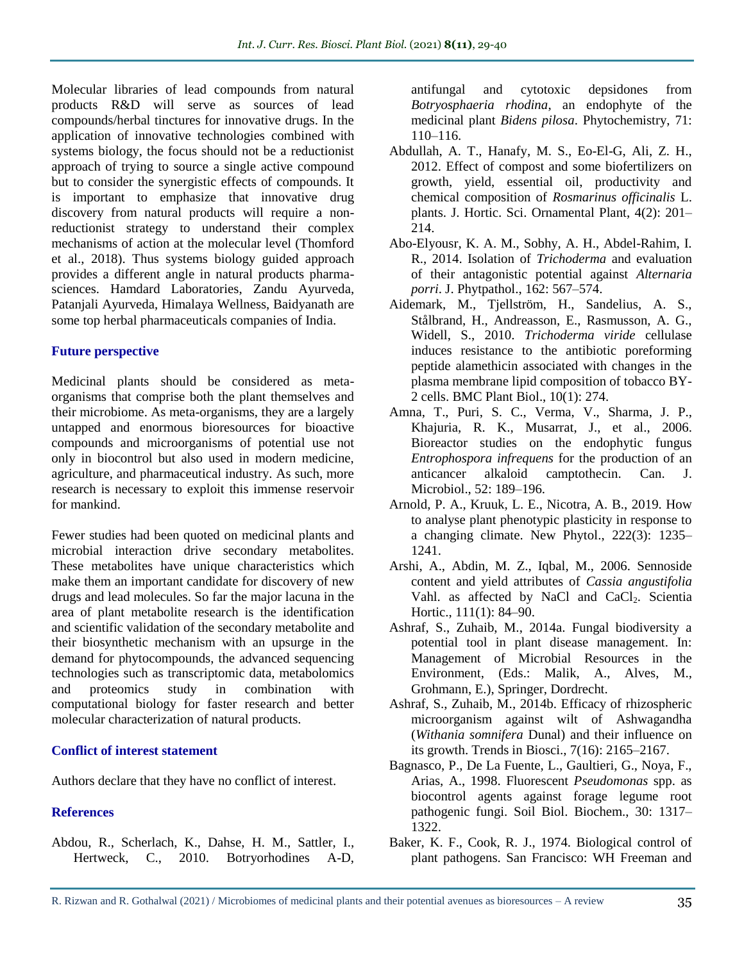Molecular libraries of lead compounds from natural products R&D will serve as sources of lead compounds/herbal tinctures for innovative drugs. In the application of innovative technologies combined with systems biology, the focus should not be a reductionist approach of trying to source a single active compound but to consider the synergistic effects of compounds. It is important to emphasize that innovative drug discovery from natural products will require a nonreductionist strategy to understand their complex mechanisms of action at the molecular level (Thomford et al., 2018). Thus systems biology guided approach provides a different angle in natural products pharmasciences. Hamdard Laboratories, Zandu Ayurveda, Patanjali Ayurveda, Himalaya Wellness, Baidyanath are some top herbal pharmaceuticals companies of India.

## **Future perspective**

Medicinal plants should be considered as metaorganisms that comprise both the plant themselves and their microbiome. As meta-organisms, they are a largely untapped and enormous bioresources for bioactive compounds and microorganisms of potential use not only in biocontrol but also used in modern medicine, agriculture, and pharmaceutical industry. As such, more research is necessary to exploit this immense reservoir for mankind.

Fewer studies had been quoted on medicinal plants and microbial interaction drive secondary metabolites. These metabolites have unique characteristics which make them an important candidate for discovery of new drugs and lead molecules. So far the major lacuna in the area of plant metabolite research is the identification and scientific validation of the secondary metabolite and their biosynthetic mechanism with an upsurge in the demand for phytocompounds, the advanced sequencing technologies such as transcriptomic data, metabolomics and proteomics study in combination with computational biology for faster research and better molecular characterization of natural products.

#### **Conflict of interest statement**

Authors declare that they have no conflict of interest.

## **References**

Abdou, R., Scherlach, K., Dahse, H. M., Sattler, I., Hertweck, C., 2010. Botryorhodines A-D, antifungal and cytotoxic depsidones from *Botryosphaeria rhodina*, an endophyte of the medicinal plant *Bidens pilosa*. Phytochemistry, 71: 110–116.

- Abdullah, A. T., Hanafy, M. S., Eo-El-G, Ali, Z. H., 2012. Effect of compost and some biofertilizers on growth, yield, essential oil, productivity and chemical composition of *Rosmarinus officinalis* L. plants. J. Hortic. Sci. Ornamental Plant, 4(2): 201– 214.
- Abo-Elyousr, K. A. M., Sobhy, A. H., Abdel-Rahim, I. R., 2014. Isolation of *Trichoderma* and evaluation of their antagonistic potential against *Alternaria porri*. J. Phytpathol., 162: 567–574.
- Aidemark, M., Tjellström, H., Sandelius, A. S., Stålbrand, H., Andreasson, E., Rasmusson, A. G., Widell, S., 2010. *Trichoderma viride* cellulase induces resistance to the antibiotic poreforming peptide alamethicin associated with changes in the plasma membrane lipid composition of tobacco BY-2 cells. BMC Plant Biol., 10(1): 274.
- Amna, T., Puri, S. C., Verma, V., Sharma, J. P., Khajuria, R. K., Musarrat, J., et al., 2006. Bioreactor studies on the endophytic fungus *Entrophospora infrequens* for the production of an anticancer alkaloid camptothecin. Can. J. Microbiol., 52: 189–196.
- Arnold, P. A., Kruuk, L. E., Nicotra, A. B., 2019. How to analyse plant phenotypic plasticity in response to a changing climate. New Phytol., 222(3): 1235– 1241.
- Arshi, A., Abdin, M. Z., Iqbal, M., 2006. Sennoside content and yield attributes of *Cassia angustifolia* Vahl. as affected by NaCl and CaCl<sub>2</sub>. Scientia Hortic., 111(1): 84–90.
- Ashraf, S., Zuhaib, M., 2014a. Fungal biodiversity a potential tool in plant disease management. In: Management of Microbial Resources in the Environment, (Eds.: Malik, A., Alves, M., Grohmann, E.), Springer, Dordrecht.
- Ashraf, S., Zuhaib, M., 2014b. Efficacy of rhizospheric microorganism against wilt of Ashwagandha (*Withania somnifera* Dunal) and their influence on its growth. Trends in Biosci., 7(16): 2165–2167.
- Bagnasco, P., De La Fuente, L., Gaultieri, G., Noya, F., Arias, A., 1998. Fluorescent *Pseudomonas* spp. as biocontrol agents against forage legume root pathogenic fungi. Soil Biol. Biochem., 30: 1317– 1322.
- Baker, K. F., Cook, R. J., 1974. Biological control of plant pathogens. San Francisco: WH Freeman and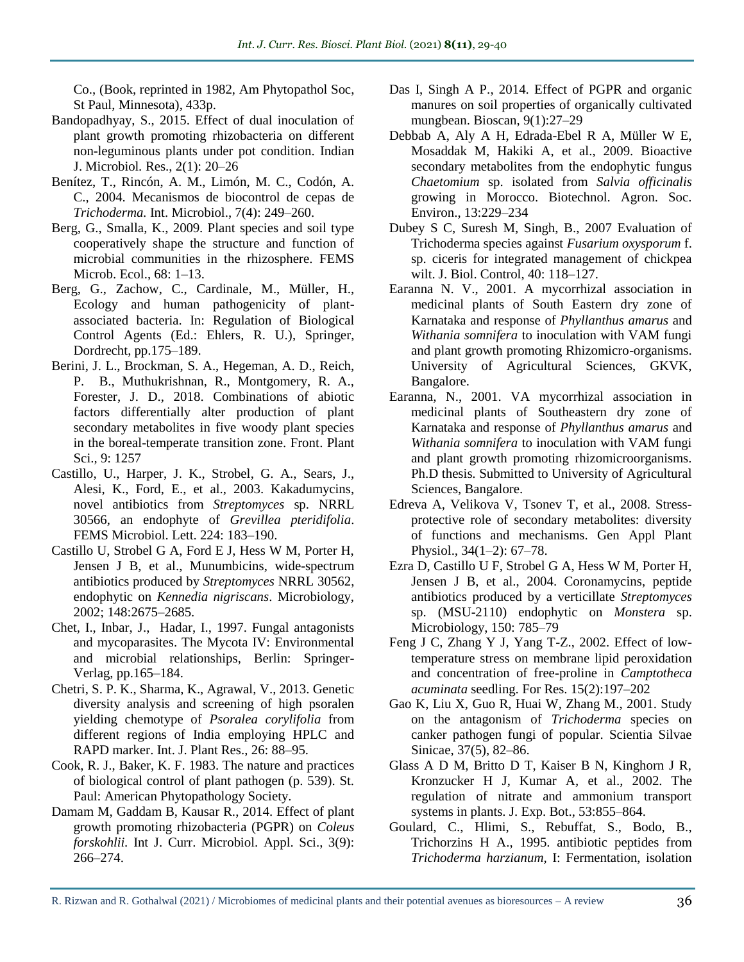Co., (Book, reprinted in 1982, Am Phytopathol Soc, St Paul, Minnesota), 433p.

- Bandopadhyay, S., 2015. Effect of dual inoculation of plant growth promoting rhizobacteria on different non-leguminous plants under pot condition. Indian J. Microbiol*.* Res., 2(1): 20–26
- Benítez, T., Rincón, A. M., Limón, M. C., Codón, A. C., 2004. Mecanismos de biocontrol de cepas de *Trichoderma.* Int. Microbiol., 7(4): 249–260.
- Berg, G., Smalla, K., 2009. Plant species and soil type cooperatively shape the structure and function of microbial communities in the rhizosphere. FEMS Microb. Ecol., 68: 1–13.
- Berg, G., Zachow, C., Cardinale, M., Müller, H., Ecology and human pathogenicity of plantassociated bacteria. In: Regulation of Biological Control Agents (Ed.: Ehlers, R. U.), Springer, Dordrecht, pp.175–189.
- Berini, J. L., Brockman, S. A., Hegeman, A. D., Reich, P. B., Muthukrishnan, R., Montgomery, R. A., Forester, J. D., 2018. Combinations of abiotic factors differentially alter production of plant secondary metabolites in five woody plant species in the boreal-temperate transition zone. Front. Plant Sci.*,* 9: 1257
- Castillo, U., Harper, J. K., Strobel, G. A., Sears, J., Alesi, K., Ford, E., et al., 2003. Kakadumycins, novel antibiotics from *Streptomyces* sp. NRRL 30566, an endophyte of *Grevillea pteridifolia*. FEMS Microbiol. Lett. 224: 183–190.
- Castillo U, Strobel G A, Ford E J, Hess W M, Porter H, Jensen J B, et al., Munumbicins, wide-spectrum antibiotics produced by *Streptomyces* NRRL 30562, endophytic on *Kennedia nigriscans*. Microbiology, 2002; 148:2675–2685.
- Chet, I., Inbar, J., Hadar, I., 1997. Fungal antagonists and mycoparasites. The Mycota IV: Environmental and microbial relationships, Berlin: Springer-Verlag, pp.165–184.
- Chetri, S. P. K., Sharma, K., Agrawal, V., 2013. Genetic diversity analysis and screening of high psoralen yielding chemotype of *Psoralea corylifolia* from different regions of India employing HPLC and RAPD marker. Int. J. Plant Res., 26: 88–95.
- Cook, R. J., Baker, K. F. 1983. The nature and practices of biological control of plant pathogen (p. 539). St. Paul: American Phytopathology Society.
- Damam M, Gaddam B, Kausar R., 2014. Effect of plant growth promoting rhizobacteria (PGPR) on *Coleus forskohlii.* Int J. Curr. Microbiol. Appl. Sci., 3(9): 266–274.
- Das I, Singh A P., 2014. Effect of PGPR and organic manures on soil properties of organically cultivated mungbean. Bioscan, 9(1):27–29
- Debbab A, Aly A H, Edrada-Ebel R A, Müller W E, Mosaddak M, Hakiki A, et al., 2009. Bioactive secondary metabolites from the endophytic fungus *Chaetomium* sp. isolated from *Salvia officinalis* growing in Morocco. Biotechnol. Agron. Soc. Environ., 13:229–234
- Dubey S C, Suresh M, Singh, B., 2007 Evaluation of Trichoderma species against *Fusarium oxysporum* f. sp. ciceris for integrated management of chickpea wilt. J. Biol. Control, 40: 118–127.
- Earanna N. V., 2001. A mycorrhizal association in medicinal plants of South Eastern dry zone of Karnataka and response of *Phyllanthus amarus* and *Withania somnifera* to inoculation with VAM fungi and plant growth promoting Rhizomicro-organisms. University of Agricultural Sciences, GKVK, Bangalore.
- Earanna, N., 2001. VA mycorrhizal association in medicinal plants of Southeastern dry zone of Karnataka and response of *Phyllanthus amarus* and *Withania somnifera* to inoculation with VAM fungi and plant growth promoting rhizomicroorganisms. Ph.D thesis. Submitted to University of Agricultural Sciences, Bangalore.
- Edreva A, Velikova V, Tsonev T, et al., 2008. Stressprotective role of secondary metabolites: diversity of functions and mechanisms. Gen Appl Plant Physiol.*,* 34(1–2): 67–78.
- Ezra D, Castillo U F, Strobel G A, Hess W M, Porter H, Jensen J B, et al., 2004. Coronamycins, peptide antibiotics produced by a verticillate *Streptomyces* sp. (MSU-2110) endophytic on *Monstera* sp. Microbiology, 150: 785–79
- Feng J C, Zhang Y J, Yang T-Z., 2002. Effect of lowtemperature stress on membrane lipid peroxidation and concentration of free-proline in *Camptotheca acuminata* seedling. For Res. 15(2):197–202
- Gao K, Liu X, Guo R, Huai W, Zhang M., 2001. Study on the antagonism of *Trichoderma* species on canker pathogen fungi of popular. Scientia Silvae Sinicae, 37(5), 82–86.
- Glass A D M, Britto D T, Kaiser B N, Kinghorn J R, Kronzucker H J, Kumar A*,* et al., 2002. The regulation of nitrate and ammonium transport systems in plants. J. Exp. Bot., 53:855–864.
- Goulard, C., Hlimi, S., Rebuffat, S., Bodo, B., Trichorzins H A., 1995. antibiotic peptides from *Trichoderma harzianum,* I: Fermentation, isolation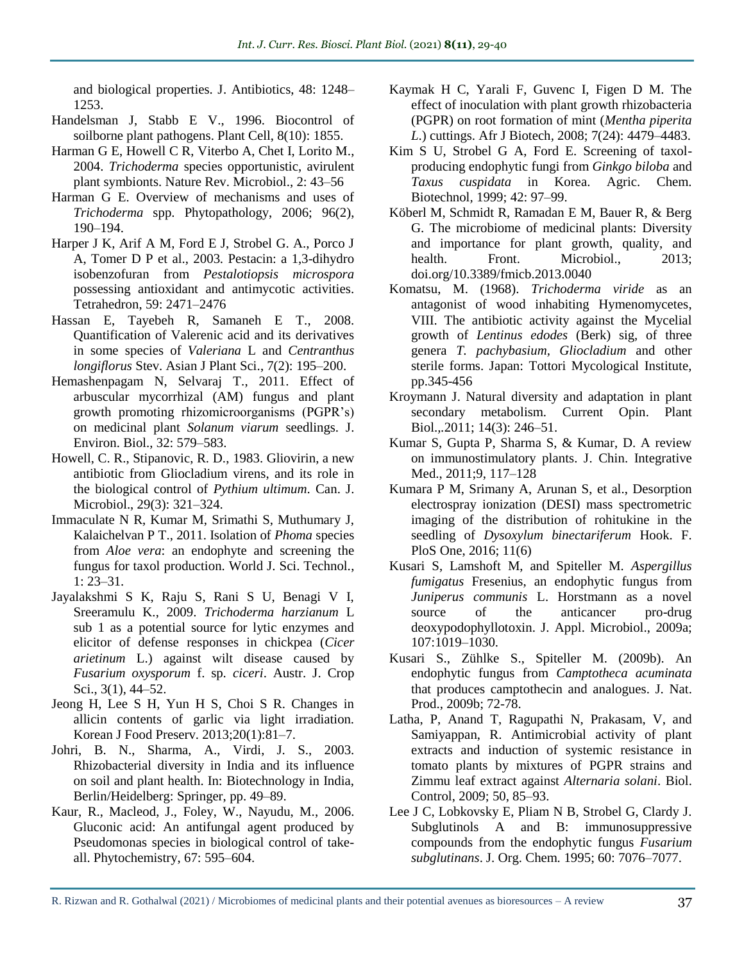and biological properties. J. Antibiotics, 48: 1248– 1253.

- Handelsman J, Stabb E V., 1996. Biocontrol of soilborne plant pathogens. Plant Cell, 8(10): 1855.
- Harman G E, Howell C R, Viterbo A, Chet I, Lorito M., 2004. *Trichoderma* species opportunistic, avirulent plant symbionts. Nature Rev. Microbiol., 2: 43–56
- Harman G E. Overview of mechanisms and uses of *Trichoderma* spp. Phytopathology, 2006; 96(2), 190–194.
- Harper J K, Arif A M, Ford E J, Strobel G. A., Porco J A, Tomer D P et al., 2003. Pestacin: a 1,3-dihydro isobenzofuran from *Pestalotiopsis microspora* possessing antioxidant and antimycotic activities. Tetrahedron, 59: 2471–2476
- Hassan E, Tayebeh R, Samaneh E T., 2008. Quantification of Valerenic acid and its derivatives in some species of *Valeriana* L and *Centranthus longiflorus* Stev. Asian J Plant Sci., 7(2): 195–200.
- Hemashenpagam N, Selvaraj T., 2011. Effect of arbuscular mycorrhizal (AM) fungus and plant growth promoting rhizomicroorganisms (PGPR's) on medicinal plant *Solanum viarum* seedlings. J. Environ. Biol., 32: 579–583.
- Howell, C. R., Stipanovic, R. D., 1983. Gliovirin, a new antibiotic from Gliocladium virens, and its role in the biological control of *Pythium ultimum*. Can. J. Microbiol., 29(3): 321–324.
- Immaculate N R, Kumar M, Srimathi S, Muthumary J, Kalaichelvan P T., 2011. Isolation of *Phoma* species from *Aloe vera*: an endophyte and screening the fungus for taxol production. World J. Sci. Technol*.*, 1: 23–31.
- Jayalakshmi S K, Raju S, Rani S U, Benagi V I, Sreeramulu K., 2009. *Trichoderma harzianum* L sub 1 as a potential source for lytic enzymes and elicitor of defense responses in chickpea (*Cicer arietinum* L.) against wilt disease caused by *Fusarium oxysporum* f. sp. *ciceri*. Austr. J. Crop Sci., 3(1), 44–52.
- Jeong H, Lee S H, Yun H S, Choi S R. Changes in allicin contents of garlic via light irradiation. Korean J Food Preserv. 2013;20(1):81–7.
- Johri, B. N., Sharma, A., Virdi, J. S., 2003. Rhizobacterial diversity in India and its influence on soil and plant health. In: Biotechnology in India, Berlin/Heidelberg: Springer, pp. 49–89.
- Kaur, R., Macleod, J., Foley, W., Nayudu, M., 2006. Gluconic acid: An antifungal agent produced by Pseudomonas species in biological control of takeall. Phytochemistry, 67: 595–604.
- Kaymak H C, Yarali F, Guvenc I, Figen D M. The effect of inoculation with plant growth rhizobacteria (PGPR) on root formation of mint (*Mentha piperita L*.) cuttings. Afr J Biotech*,* 2008; 7(24): 4479–4483.
- Kim S U, Strobel G A, Ford E. Screening of taxolproducing endophytic fungi from *Ginkgo biloba* and *Taxus cuspidata* in Korea. Agric. Chem. Biotechnol*,* 1999; 42: 97–99.
- Köberl M, Schmidt R, Ramadan E M, Bauer R, & Berg G. The microbiome of medicinal plants: Diversity and importance for plant growth, quality, and health. Front. Microbiol., 2013; [doi.org/10.3389/fmicb.2013.0040](https://doi.org/10.3389/fmicb.2013.0040)
- Komatsu, M. (1968). *Trichoderma viride* as an antagonist of wood inhabiting Hymenomycetes, VIII. The antibiotic activity against the Mycelial growth of *Lentinus edodes* (Berk) sig, of three genera *T. pachybasium, Gliocladium* and other sterile forms. Japan: Tottori Mycological Institute, pp.345-456
- Kroymann J. Natural diversity and adaptation in plant secondary metabolism. Current Opin. Plant Biol.*,.*2011; 14(3): 246–51.
- Kumar S, Gupta P, Sharma S, & Kumar, D. A review on immunostimulatory plants. J. Chin. Integrative Med., 2011;9, 117–128
- Kumara P M, Srimany A, Arunan S, et al., Desorption electrospray ionization (DESI) mass spectrometric imaging of the distribution of rohitukine in the seedling of *Dysoxylum binectariferum* Hook. F. PloS One, 2016; 11(6)
- Kusari S, Lamshoft M, and Spiteller M. *Aspergillus fumigatus* Fresenius, an endophytic fungus from *Juniperus communis* L. Horstmann as a novel source of the anticancer pro-drug deoxypodophyllotoxin. J. Appl. Microbiol., 2009a; 107:1019–1030.
- Kusari S., Zühlke S., Spiteller M. (2009b). An endophytic fungus from *Camptotheca acuminata* that produces camptothecin and analogues. J. Nat. Prod., 2009b; 72-78.
- Latha, P, Anand T, Ragupathi N, Prakasam, V, and Samiyappan, R. Antimicrobial activity of plant extracts and induction of systemic resistance in tomato plants by mixtures of PGPR strains and Zimmu leaf extract against *Alternaria solani*. Biol. Control, 2009; 50, 85–93.
- Lee J C, Lobkovsky E, Pliam N B, Strobel G, Clardy J. Subglutinols A and B: immunosuppressive compounds from the endophytic fungus *Fusarium subglutinans*. J. Org. Chem*.* 1995; 60: 7076–7077.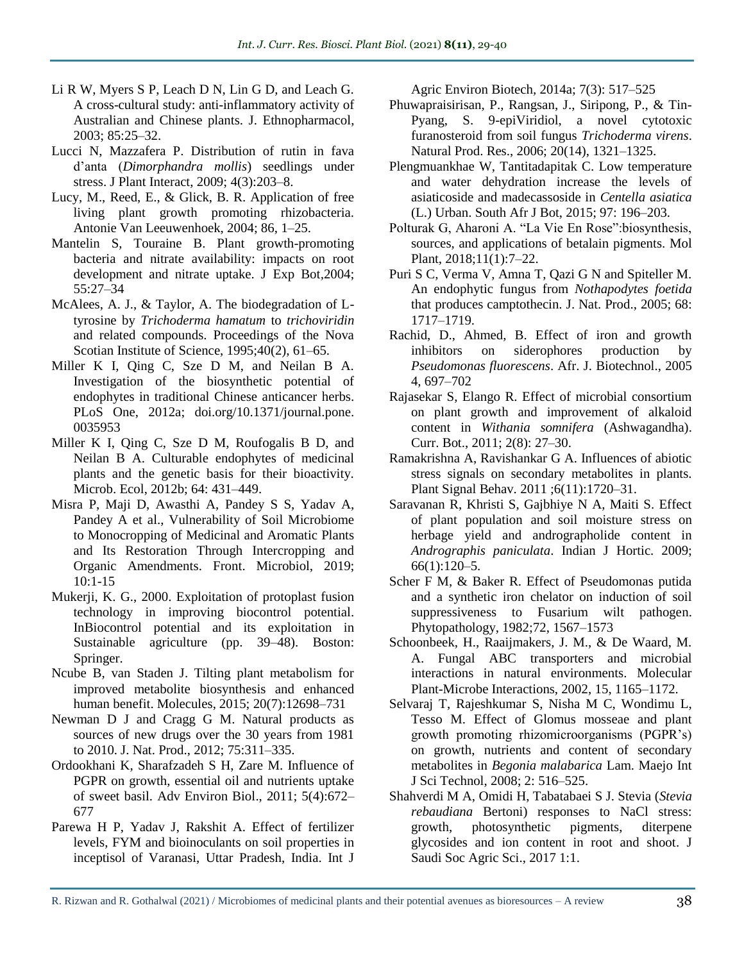- Li R W, Myers S P, Leach D N, Lin G D, and Leach G. A cross-cultural study: anti-inflammatory activity of Australian and Chinese plants. J. Ethnopharmacol, 2003; 85:25–32.
- Lucci N, Mazzafera P. Distribution of rutin in fava d'anta (*Dimorphandra mollis*) seedlings under stress. J Plant Interact, 2009; 4(3):203–8.
- Lucy, M., Reed, E., & Glick, B. R. Application of free living plant growth promoting rhizobacteria. Antonie Van Leeuwenhoek, 2004; 86, 1–25.
- Mantelin S, Touraine B. Plant growth-promoting bacteria and nitrate availability: impacts on root development and nitrate uptake. J Exp Bot*,*2004; 55:27–34
- McAlees, A. J., & Taylor, A. The biodegradation of Ltyrosine by *Trichoderma hamatum* to *trichoviridin*  and related compounds. Proceedings of the Nova Scotian Institute of Science, 1995;40(2), 61–65.
- Miller K I, Qing C, Sze D M, and Neilan B A. Investigation of the biosynthetic potential of endophytes in traditional Chinese anticancer herbs. PLoS One, 2012a; doi.org/10.1371/journal.pone. 0035953
- Miller K I, Qing C, Sze D M, Roufogalis B D, and Neilan B A. Culturable endophytes of medicinal plants and the genetic basis for their bioactivity. Microb. Ecol, 2012b; 64: 431–449.
- Misra P, Maji D, Awasthi A, [Pandey](https://www.frontiersin.org/people/u/784696) S S, Yadav A, Pandey A et al., Vulnerability of Soil Microbiome to Monocropping of Medicinal and Aromatic Plants and Its Restoration Through Intercropping and Organic Amendments. Front. Microbiol, 2019; 10:1-15
- Mukerji, K. G., 2000. Exploitation of protoplast fusion technology in improving biocontrol potential. InBiocontrol potential and its exploitation in Sustainable agriculture (pp. 39–48). Boston: Springer.
- Ncube B, van Staden J. Tilting plant metabolism for improved metabolite biosynthesis and enhanced human benefit. Molecules, 2015; 20(7):12698–731
- Newman D J and Cragg G M. Natural products as sources of new drugs over the 30 years from 1981 to 2010. J. Nat. Prod., 2012; 75:311–335.
- Ordookhani K, Sharafzadeh S H, Zare M. Influence of PGPR on growth, essential oil and nutrients uptake of sweet basil. Adv Environ Biol., 2011; 5(4):672– 677
- Parewa H P, Yadav J, Rakshit A. Effect of fertilizer levels, FYM and bioinoculants on soil properties in inceptisol of Varanasi, Uttar Pradesh, India. Int J

Agric Environ Biotech*,* 2014a; 7(3): 517–525

- Phuwapraisirisan, P., Rangsan, J., Siripong, P., & Tin-Pyang, S. 9-epiViridiol, a novel cytotoxic furanosteroid from soil fungus *Trichoderma virens*. Natural Prod. Res., 2006; 20(14), 1321–1325.
- Plengmuankhae W, Tantitadapitak C. Low temperature and water dehydration increase the levels of asiaticoside and madecassoside in *Centella asiatica* (L.) Urban. South Afr J Bot, 2015; 97: 196–203.
- Polturak G, Aharoni A. "La Vie En Rose":biosynthesis, sources, and applications of betalain pigments. Mol Plant, 2018;11(1):7–22.
- Puri S C, Verma V, Amna T, Qazi G N and Spiteller M. An endophytic fungus from *Nothapodytes foetida* that produces camptothecin. J. Nat. Prod., 2005; 68: 1717–1719.
- Rachid, D., Ahmed, B. Effect of iron and growth inhibitors on siderophores production by *Pseudomonas fluorescens*. Afr. J. Biotechnol., 2005 4, 697–702
- Rajasekar S, Elango R. Effect of microbial consortium on plant growth and improvement of alkaloid content in *Withania somnifera* (Ashwagandha). Curr. Bot., 2011; 2(8): 27–30.
- Ramakrishna A, Ravishankar G A. Influences of abiotic stress signals on secondary metabolites in plants. Plant Signal Behav. 2011 ;6(11):1720–31.
- Saravanan R, Khristi S, Gajbhiye N A, Maiti S. Effect of plant population and soil moisture stress on herbage yield and andrographolide content in *Andrographis paniculata*. Indian J Hortic. 2009; 66(1):120–5.
- Scher F M, & Baker R. Effect of Pseudomonas putida and a synthetic iron chelator on induction of soil suppressiveness to Fusarium wilt pathogen. Phytopathology, 1982;72, 1567–1573
- Schoonbeek, H., Raaijmakers, J. M., & De Waard, M. A. Fungal ABC transporters and microbial interactions in natural environments. Molecular Plant-Microbe Interactions, 2002, 15, 1165–1172.
- Selvaraj T, Rajeshkumar S, Nisha M C, Wondimu L, Tesso M. Effect of Glomus mosseae and plant growth promoting rhizomicroorganisms (PGPR's) on growth, nutrients and content of secondary metabolites in *Begonia malabarica* Lam. Maejo Int J Sci Technol, 2008; 2: 516–525.
- Shahverdi M A, Omidi H, Tabatabaei S J. Stevia (*Stevia rebaudiana* Bertoni) responses to NaCl stress: growth, photosynthetic pigments, diterpene glycosides and ion content in root and shoot. J Saudi Soc Agric Sci., 2017 1:1.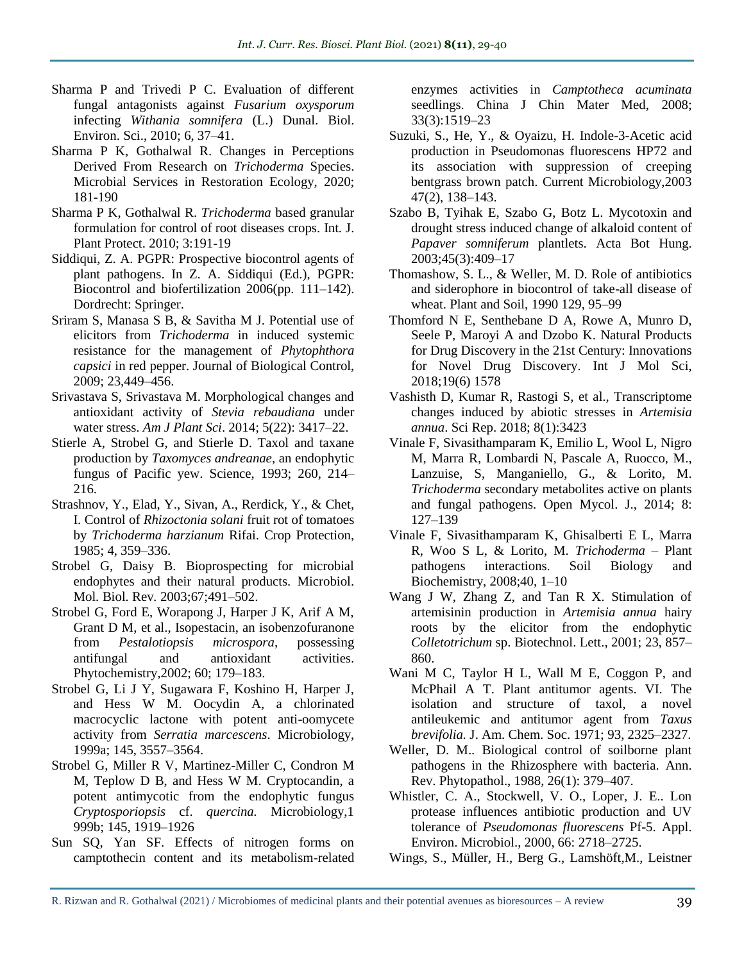- Sharma P and Trivedi P C. Evaluation of different fungal antagonists against *Fusarium oxysporum* infecting *Withania somnifera* (L.) Dunal. Biol. Environ. Sci., 2010; 6, 37–41.
- Sharma P K, Gothalwal R. Changes in Perceptions Derived From Research on *Trichoderma* Species. Microbial Services in Restoration Ecology, 2020; 181-190
- Sharma P K, Gothalwal R. *Trichoderma* based granular formulation for control of root diseases crops. Int*.* J. Plant Protect. 2010; 3:191-19
- Siddiqui, Z. A. PGPR: Prospective biocontrol agents of plant pathogens. In Z. A. Siddiqui (Ed.), PGPR: Biocontrol and biofertilization 2006(pp. 111–142). Dordrecht: Springer.
- Sriram S, Manasa S B, & Savitha M J. Potential use of elicitors from *Trichoderma* in induced systemic resistance for the management of *Phytophthora capsici* in red pepper. Journal of Biological Control, 2009; 23,449–456.
- Srivastava S, Srivastava M. Morphological changes and antioxidant activity of *Stevia rebaudiana* under water stress. *Am J Plant Sci*. 2014; 5(22): 3417–22.
- Stierle A, Strobel G, and Stierle D. Taxol and taxane production by *Taxomyces andreanae*, an endophytic fungus of Pacific yew. Science, 1993; 260, 214– 216.
- Strashnov, Y., Elad, Y., Sivan, A., Rerdick, Y., & Chet, I. Control of *Rhizoctonia solani* fruit rot of tomatoes by *Trichoderma harzianum* Rifai. Crop Protection, 1985; 4, 359–336.
- Strobel G, Daisy B. Bioprospecting for microbial endophytes and their natural products. Microbiol. Mol*.* Biol. Rev*.* 2003;67;491–502.
- Strobel G, Ford E, Worapong J, Harper J K, Arif A M, Grant D M, et al., Isopestacin, an isobenzofuranone from *Pestalotiopsis microspora*, possessing antifungal and antioxidant activities. Phytochemistry*,*2002; 60; 179–183.
- Strobel G, Li J Y, Sugawara F, Koshino H, Harper J, and Hess W M. Oocydin A, a chlorinated macrocyclic lactone with potent anti-oomycete activity from *Serratia marcescens*. Microbiology, 1999a; 145, 3557–3564.
- Strobel G, Miller R V, Martinez-Miller C, Condron M M, Teplow D B, and Hess W M. Cryptocandin, a potent antimycotic from the endophytic fungus *Cryptosporiopsis* cf. *quercina.* Microbiology,1 999b; 145, 1919–1926
- Sun SQ, Yan SF. Effects of nitrogen forms on camptothecin content and its metabolism-related

enzymes activities in *Camptotheca acuminata* seedlings. China J Chin Mater Med, 2008; 33(3):1519–23

- Suzuki, S., He, Y., & Oyaizu, H. Indole-3-Acetic acid production in Pseudomonas fluorescens HP72 and its association with suppression of creeping bentgrass brown patch. Current Microbiology,2003 47(2), 138–143.
- Szabo B, Tyihak E, Szabo G, Botz L. Mycotoxin and drought stress induced change of alkaloid content of *Papaver somniferum* plantlets. Acta Bot Hung. 2003;45(3):409–17
- Thomashow, S. L., & Weller, M. D. Role of antibiotics and siderophore in biocontrol of take-all disease of wheat. Plant and Soil, 1990 129, 95–99
- Thomford N E, Senthebane D A, Rowe A, Munro D, Seele P, Maroyi A and Dzobo K. Natural Products for Drug Discovery in the 21st Century: Innovations for Novel Drug Discovery. Int J Mol Sci, 2018;19(6) 1578
- Vashisth D, Kumar R, Rastogi S, et al., Transcriptome changes induced by abiotic stresses in *Artemisia annua*. Sci Rep. 2018; 8(1):3423
- Vinale F, Sivasithamparam K, Emilio L, Wool L, Nigro M, Marra R, Lombardi N, Pascale A, Ruocco, M., Lanzuise, S, Manganiello, G., & Lorito, M. *Trichoderma* secondary metabolites active on plants and fungal pathogens. Open Mycol. J., 2014; 8: 127–139
- Vinale F, Sivasithamparam K, Ghisalberti E L, Marra R, Woo S L, & Lorito, M. *Trichoderma* – Plant pathogens interactions. Soil Biology and Biochemistry, 2008;40, 1–10
- Wang J W, Zhang Z, and Tan R X. Stimulation of artemisinin production in *Artemisia annua* hairy roots by the elicitor from the endophytic *Colletotrichum* sp. Biotechnol. Lett., 2001; 23, 857– 860.
- Wani M C, Taylor H L, Wall M E, Coggon P, and McPhail A T. Plant antitumor agents. VI. The isolation and structure of taxol, a novel antileukemic and antitumor agent from *Taxus brevifolia.* J. Am. Chem. Soc. 1971; 93, 2325–2327.
- Weller, D. M.. Biological control of soilborne plant pathogens in the Rhizosphere with bacteria. Ann. Rev. Phytopathol., 1988, 26(1): 379–407.
- Whistler, C. A., Stockwell, V. O., Loper, J. E.. Lon protease influences antibiotic production and UV tolerance of *Pseudomonas fluorescens* Pf-5. Appl. Environ. Microbiol., 2000, 66: 2718–2725.
- Wings, S., Müller, H., Berg G., Lamshöft,M., Leistner